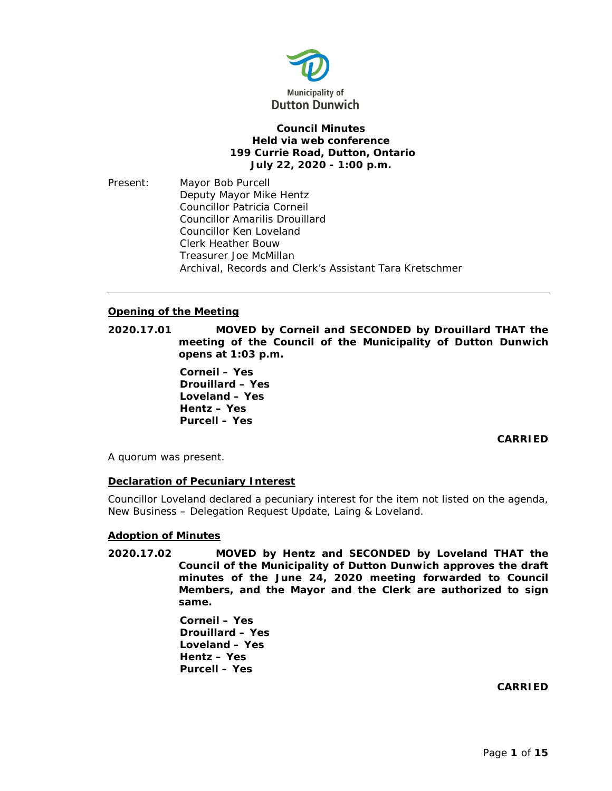

## **Council Minutes Held via web conference 199 Currie Road, Dutton, Ontario July 22, 2020 - 1:00 p.m.**

Present: Mayor Bob Purcell Deputy Mayor Mike Hentz Councillor Patricia Corneil Councillor Amarilis Drouillard Councillor Ken Loveland Clerk Heather Bouw Treasurer Joe McMillan Archival, Records and Clerk's Assistant Tara Kretschmer

# **Opening of the Meeting**

**2020.17.01 MOVED by Corneil and SECONDED by Drouillard THAT the meeting of the Council of the Municipality of Dutton Dunwich opens at 1:03 p.m.**

> **Corneil – Yes Drouillard – Yes Loveland – Yes Hentz – Yes Purcell – Yes**

# **CARRIED**

A quorum was present.

# **Declaration of Pecuniary Interest**

Councillor Loveland declared a pecuniary interest for the item not listed on the agenda, New Business – Delegation Request Update, Laing & Loveland.

# **Adoption of Minutes**

**2020.17.02 MOVED by Hentz and SECONDED by Loveland THAT the Council of the Municipality of Dutton Dunwich approves the draft minutes of the June 24, 2020 meeting forwarded to Council Members, and the Mayor and the Clerk are authorized to sign same.**

> **Corneil – Yes Drouillard – Yes Loveland – Yes Hentz – Yes Purcell – Yes**

> > **CARRIED**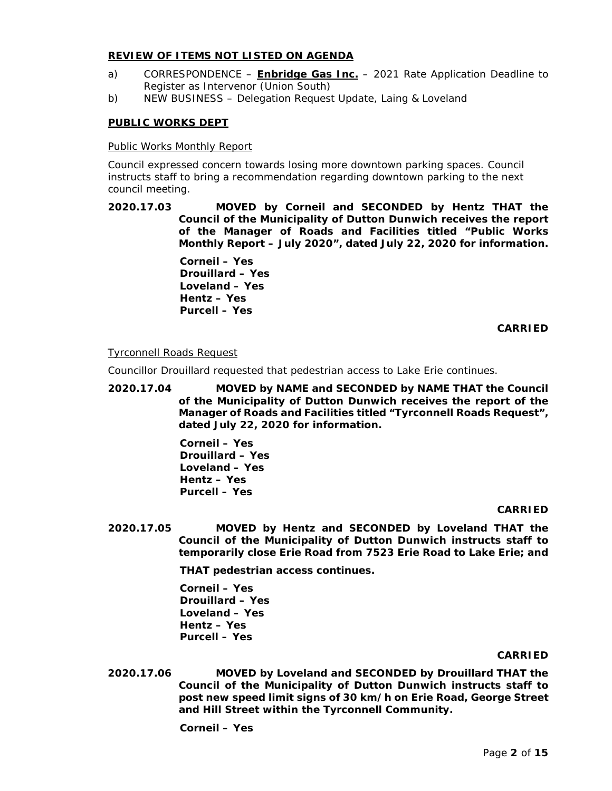## **REVIEW OF ITEMS NOT LISTED ON AGENDA**

- a) CORRESPONDENCE **Enbridge Gas Inc.** 2021 Rate Application Deadline to Register as Intervenor (Union South)
- b) NEW BUSINESS Delegation Request Update, Laing & Loveland

## **PUBLIC WORKS DEPT**

### Public Works Monthly Report

Council expressed concern towards losing more downtown parking spaces. Council instructs staff to bring a recommendation regarding downtown parking to the next council meeting.

**2020.17.03 MOVED by Corneil and SECONDED by Hentz THAT the Council of the Municipality of Dutton Dunwich receives the report of the Manager of Roads and Facilities titled "Public Works Monthly Report – July 2020", dated July 22, 2020 for information.**

> **Corneil – Yes Drouillard – Yes Loveland – Yes Hentz – Yes Purcell – Yes**

### **CARRIED**

### Tyrconnell Roads Request

Councillor Drouillard requested that pedestrian access to Lake Erie continues.

**2020.17.04 MOVED by NAME and SECONDED by NAME THAT the Council of the Municipality of Dutton Dunwich receives the report of the Manager of Roads and Facilities titled "Tyrconnell Roads Request", dated July 22, 2020 for information.**

> **Corneil – Yes Drouillard – Yes Loveland – Yes Hentz – Yes Purcell – Yes**

### **CARRIED**

**2020.17.05 MOVED by Hentz and SECONDED by Loveland THAT the Council of the Municipality of Dutton Dunwich instructs staff to temporarily close Erie Road from 7523 Erie Road to Lake Erie; and**

**THAT pedestrian access continues.**

**Corneil – Yes Drouillard – Yes Loveland – Yes Hentz – Yes Purcell – Yes**

#### **CARRIED**

**2020.17.06 MOVED by Loveland and SECONDED by Drouillard THAT the Council of the Municipality of Dutton Dunwich instructs staff to post new speed limit signs of 30 km/h on Erie Road, George Street and Hill Street within the Tyrconnell Community.**

**Corneil – Yes**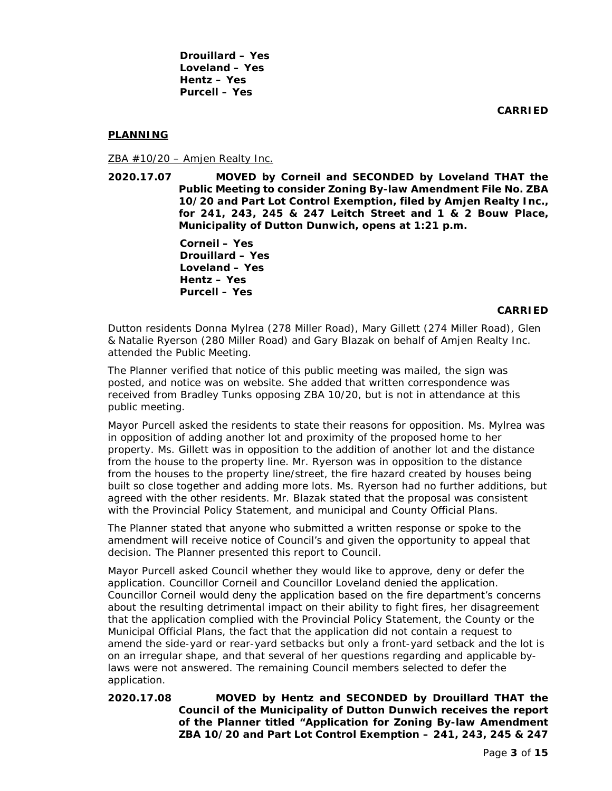**Drouillard – Yes Loveland – Yes Hentz – Yes Purcell – Yes**

**CARRIED**

# **PLANNING**

 $ZBA #10/20 - Amjen Really Inc.$ 

**2020.17.07 MOVED by Corneil and SECONDED by Loveland THAT the Public Meeting to consider Zoning By-law Amendment File No. ZBA 10/20 and Part Lot Control Exemption, filed by Amjen Realty Inc., for 241, 243, 245 & 247 Leitch Street and 1 & 2 Bouw Place, Municipality of Dutton Dunwich, opens at 1:21 p.m.**

> **Corneil – Yes Drouillard – Yes Loveland – Yes Hentz – Yes Purcell – Yes**

## **CARRIED**

Dutton residents Donna Mylrea (278 Miller Road), Mary Gillett (274 Miller Road), Glen & Natalie Ryerson (280 Miller Road) and Gary Blazak on behalf of Amjen Realty Inc. attended the Public Meeting.

The Planner verified that notice of this public meeting was mailed, the sign was posted, and notice was on website. She added that written correspondence was received from Bradley Tunks opposing ZBA 10/20, but is not in attendance at this public meeting.

Mayor Purcell asked the residents to state their reasons for opposition. Ms. Mylrea was in opposition of adding another lot and proximity of the proposed home to her property. Ms. Gillett was in opposition to the addition of another lot and the distance from the house to the property line. Mr. Ryerson was in opposition to the distance from the houses to the property line/street, the fire hazard created by houses being built so close together and adding more lots. Ms. Ryerson had no further additions, but agreed with the other residents. Mr. Blazak stated that the proposal was consistent with the Provincial Policy Statement, and municipal and County Official Plans.

The Planner stated that anyone who submitted a written response or spoke to the amendment will receive notice of Council's and given the opportunity to appeal that decision. The Planner presented this report to Council.

Mayor Purcell asked Council whether they would like to approve, deny or defer the application. Councillor Corneil and Councillor Loveland denied the application. Councillor Corneil would deny the application based on the fire department's concerns about the resulting detrimental impact on their ability to fight fires, her disagreement that the application complied with the Provincial Policy Statement, the County or the Municipal Official Plans, the fact that the application did not contain a request to amend the side-yard or rear-yard setbacks but only a front-yard setback and the lot is on an irregular shape, and that several of her questions regarding and applicable bylaws were not answered. The remaining Council members selected to defer the application.

# **2020.17.08 MOVED by Hentz and SECONDED by Drouillard THAT the Council of the Municipality of Dutton Dunwich receives the report of the Planner titled "Application for Zoning By-law Amendment ZBA 10/20 and Part Lot Control Exemption – 241, 243, 245 & 247**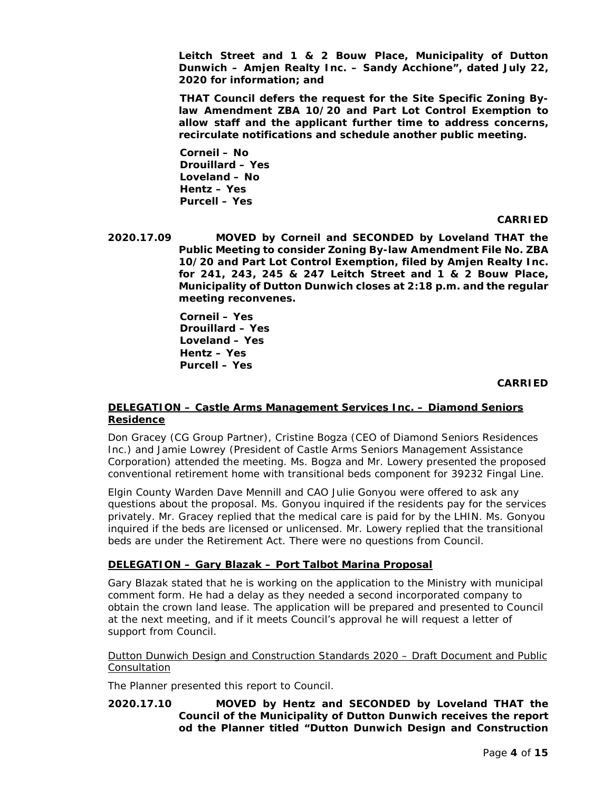**Leitch Street and 1 & 2 Bouw Place, Municipality of Dutton Dunwich – Amjen Realty Inc. – Sandy Acchione", dated July 22, 2020 for information; and**

**THAT Council defers the request for the Site Specific Zoning Bylaw Amendment ZBA 10/20 and Part Lot Control Exemption to allow staff and the applicant further time to address concerns, recirculate notifications and schedule another public meeting.** 

**Corneil – No Drouillard – Yes Loveland – No Hentz – Yes Purcell – Yes**

## **CARRIED**

**2020.17.09 MOVED by Corneil and SECONDED by Loveland THAT the Public Meeting to consider Zoning By-law Amendment File No. ZBA 10/20 and Part Lot Control Exemption, filed by Amjen Realty Inc. for 241, 243, 245 & 247 Leitch Street and 1 & 2 Bouw Place, Municipality of Dutton Dunwich closes at 2:18 p.m. and the regular meeting reconvenes.**

> **Corneil – Yes Drouillard – Yes Loveland – Yes Hentz – Yes Purcell – Yes**

### **CARRIED**

# **DELEGATION – Castle Arms Management Services Inc. – Diamond Seniors Residence**

Don Gracey (CG Group Partner), Cristine Bogza (CEO of Diamond Seniors Residences Inc.) and Jamie Lowrey (President of Castle Arms Seniors Management Assistance Corporation) attended the meeting. Ms. Bogza and Mr. Lowery presented the proposed conventional retirement home with transitional beds component for 39232 Fingal Line.

Elgin County Warden Dave Mennill and CAO Julie Gonyou were offered to ask any questions about the proposal. Ms. Gonyou inquired if the residents pay for the services privately. Mr. Gracey replied that the medical care is paid for by the LHIN. Ms. Gonyou inquired if the beds are licensed or unlicensed. Mr. Lowery replied that the transitional beds are under the Retirement Act. There were no questions from Council.

# **DELEGATION – Gary Blazak – Port Talbot Marina Proposal**

Gary Blazak stated that he is working on the application to the Ministry with municipal comment form. He had a delay as they needed a second incorporated company to obtain the crown land lease. The application will be prepared and presented to Council at the next meeting, and if it meets Council's approval he will request a letter of support from Council.

Dutton Dunwich Design and Construction Standards 2020 – Draft Document and Public Consultation

The Planner presented this report to Council.

## **2020.17.10 MOVED by Hentz and SECONDED by Loveland THAT the Council of the Municipality of Dutton Dunwich receives the report od the Planner titled "Dutton Dunwich Design and Construction**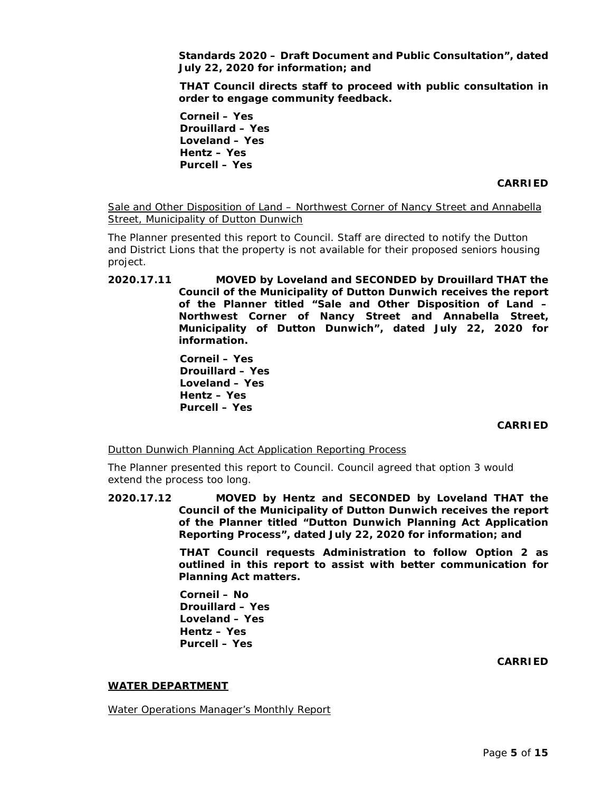**Standards 2020 – Draft Document and Public Consultation", dated July 22, 2020 for information; and**

**THAT Council directs staff to proceed with public consultation in order to engage community feedback.**

**Corneil – Yes Drouillard – Yes Loveland – Yes Hentz – Yes Purcell – Yes**

### **CARRIED**

Sale and Other Disposition of Land – Northwest Corner of Nancy Street and Annabella Street, Municipality of Dutton Dunwich

The Planner presented this report to Council. Staff are directed to notify the Dutton and District Lions that the property is not available for their proposed seniors housing project.

**2020.17.11 MOVED by Loveland and SECONDED by Drouillard THAT the Council of the Municipality of Dutton Dunwich receives the report of the Planner titled "Sale and Other Disposition of Land – Northwest Corner of Nancy Street and Annabella Street, Municipality of Dutton Dunwich", dated July 22, 2020 for information.**

> **Corneil – Yes Drouillard – Yes Loveland – Yes Hentz – Yes Purcell – Yes**

### **CARRIED**

Dutton Dunwich Planning Act Application Reporting Process

The Planner presented this report to Council. Council agreed that option 3 would extend the process too long.

**2020.17.12 MOVED by Hentz and SECONDED by Loveland THAT the Council of the Municipality of Dutton Dunwich receives the report of the Planner titled "Dutton Dunwich Planning Act Application Reporting Process", dated July 22, 2020 for information; and**

> **THAT Council requests Administration to follow Option 2 as outlined in this report to assist with better communication for Planning Act matters.**

**Corneil – No Drouillard – Yes Loveland – Yes Hentz – Yes Purcell – Yes**

### **CARRIED**

### **WATER DEPARTMENT**

Water Operations Manager's Monthly Report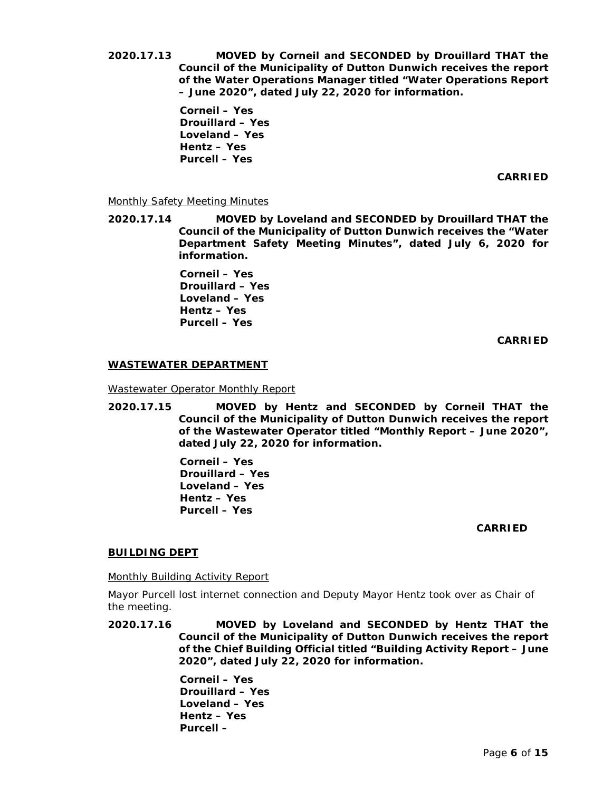**2020.17.13 MOVED by Corneil and SECONDED by Drouillard THAT the Council of the Municipality of Dutton Dunwich receives the report of the Water Operations Manager titled "Water Operations Report – June 2020", dated July 22, 2020 for information.**

> **Corneil – Yes Drouillard – Yes Loveland – Yes Hentz – Yes Purcell – Yes**

> > **CARRIED**

## Monthly Safety Meeting Minutes

**2020.17.14 MOVED by Loveland and SECONDED by Drouillard THAT the Council of the Municipality of Dutton Dunwich receives the "Water Department Safety Meeting Minutes", dated July 6, 2020 for information.**

> **Corneil – Yes Drouillard – Yes Loveland – Yes Hentz – Yes Purcell – Yes**

> > **CARRIED**

### **WASTEWATER DEPARTMENT**

Wastewater Operator Monthly Report

**2020.17.15 MOVED by Hentz and SECONDED by Corneil THAT the Council of the Municipality of Dutton Dunwich receives the report of the Wastewater Operator titled "Monthly Report – June 2020", dated July 22, 2020 for information.**

> **Corneil – Yes Drouillard – Yes Loveland – Yes Hentz – Yes Purcell – Yes**

### **CARRIED**

# **BUILDING DEPT**

Monthly Building Activity Report

Mayor Purcell lost internet connection and Deputy Mayor Hentz took over as Chair of the meeting.

**2020.17.16 MOVED by Loveland and SECONDED by Hentz THAT the Council of the Municipality of Dutton Dunwich receives the report of the Chief Building Official titled "Building Activity Report – June 2020", dated July 22, 2020 for information.**

> **Corneil – Yes Drouillard – Yes Loveland – Yes Hentz – Yes Purcell –**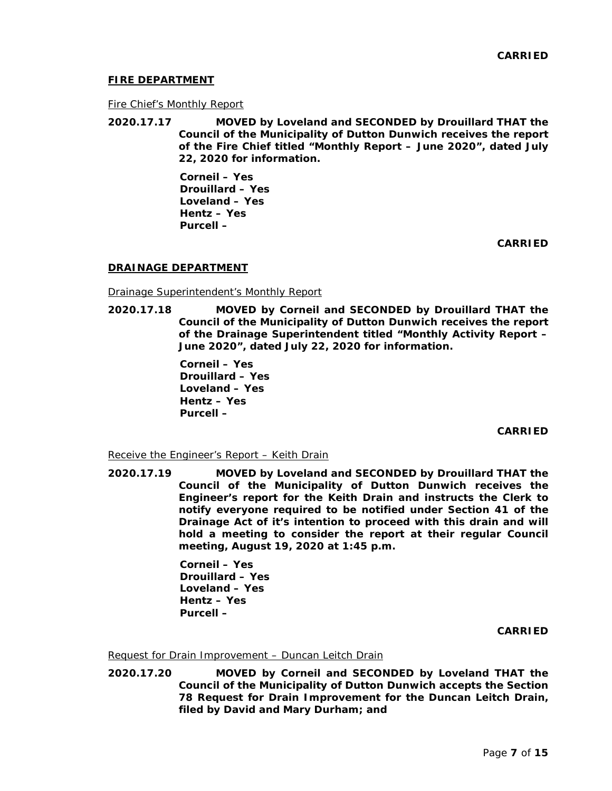### **FIRE DEPARTMENT**

#### Fire Chief's Monthly Report

**2020.17.17 MOVED by Loveland and SECONDED by Drouillard THAT the Council of the Municipality of Dutton Dunwich receives the report of the Fire Chief titled "Monthly Report – June 2020", dated July 22, 2020 for information.**

> **Corneil – Yes Drouillard – Yes Loveland – Yes Hentz – Yes Purcell –**

> > **CARRIED**

### **DRAINAGE DEPARTMENT**

Drainage Superintendent's Monthly Report

**2020.17.18 MOVED by Corneil and SECONDED by Drouillard THAT the Council of the Municipality of Dutton Dunwich receives the report of the Drainage Superintendent titled "Monthly Activity Report – June 2020", dated July 22, 2020 for information.**

> **Corneil – Yes Drouillard – Yes Loveland – Yes Hentz – Yes Purcell –**

> > **CARRIED**

#### Receive the Engineer's Report – Keith Drain

**2020.17.19 MOVED by Loveland and SECONDED by Drouillard THAT the Council of the Municipality of Dutton Dunwich receives the Engineer's report for the Keith Drain and instructs the Clerk to notify everyone required to be notified under Section 41 of the Drainage Act of it's intention to proceed with this drain and will hold a meeting to consider the report at their regular Council meeting, August 19, 2020 at 1:45 p.m.**

> **Corneil – Yes Drouillard – Yes Loveland – Yes Hentz – Yes Purcell –**

> > **CARRIED**

Request for Drain Improvement – Duncan Leitch Drain

**2020.17.20 MOVED by Corneil and SECONDED by Loveland THAT the Council of the Municipality of Dutton Dunwich accepts the Section 78 Request for Drain Improvement for the Duncan Leitch Drain, filed by David and Mary Durham; and**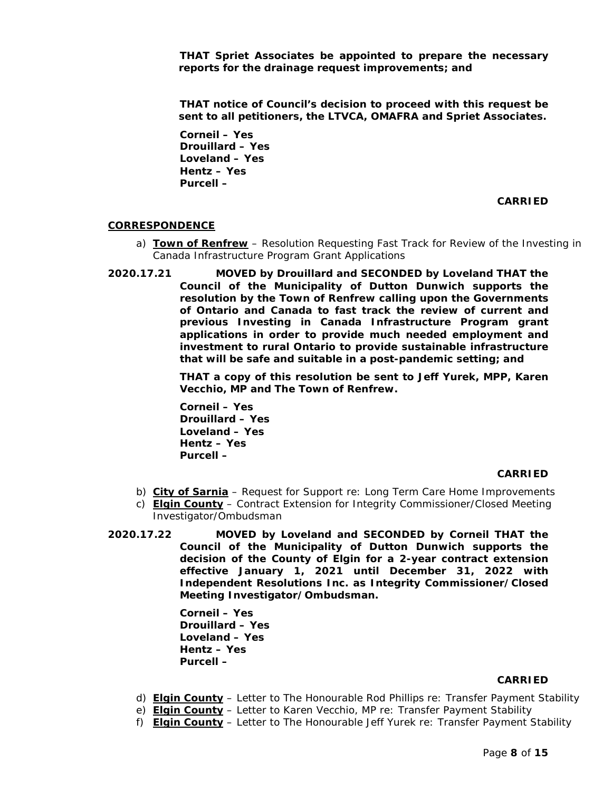**THAT Spriet Associates be appointed to prepare the necessary reports for the drainage request improvements; and**

**THAT notice of Council's decision to proceed with this request be sent to all petitioners, the LTVCA, OMAFRA and Spriet Associates.**

**Corneil – Yes Drouillard – Yes Loveland – Yes Hentz – Yes Purcell –**

## **CARRIED**

## **CORRESPONDENCE**

- a) **Town of Renfrew** Resolution Requesting Fast Track for Review of the Investing in Canada Infrastructure Program Grant Applications
- **2020.17.21 MOVED by Drouillard and SECONDED by Loveland THAT the Council of the Municipality of Dutton Dunwich supports the resolution by the Town of Renfrew calling upon the Governments of Ontario and Canada to fast track the review of current and previous Investing in Canada Infrastructure Program grant applications in order to provide much needed employment and investment to rural Ontario to provide sustainable infrastructure that will be safe and suitable in a post-pandemic setting; and**

**THAT a copy of this resolution be sent to Jeff Yurek, MPP, Karen Vecchio, MP and The Town of Renfrew.** 

**Corneil – Yes Drouillard – Yes Loveland – Yes Hentz – Yes Purcell –**

#### **CARRIED**

- b) **City of Sarnia** Request for Support re: Long Term Care Home Improvements
- c) **Elgin County** Contract Extension for Integrity Commissioner/Closed Meeting Investigator/Ombudsman
- **2020.17.22 MOVED by Loveland and SECONDED by Corneil THAT the Council of the Municipality of Dutton Dunwich supports the decision of the County of Elgin for a 2-year contract extension effective January 1, 2021 until December 31, 2022 with Independent Resolutions Inc. as Integrity Commissioner/Closed Meeting Investigator/Ombudsman.**

**Corneil – Yes Drouillard – Yes Loveland – Yes Hentz – Yes Purcell –**

#### **CARRIED**

- d) **Elgin County** Letter to The Honourable Rod Phillips re: Transfer Payment Stability
- e) **Elgin County** Letter to Karen Vecchio, MP re: Transfer Payment Stability
- f) **Elgin County** Letter to The Honourable Jeff Yurek re: Transfer Payment Stability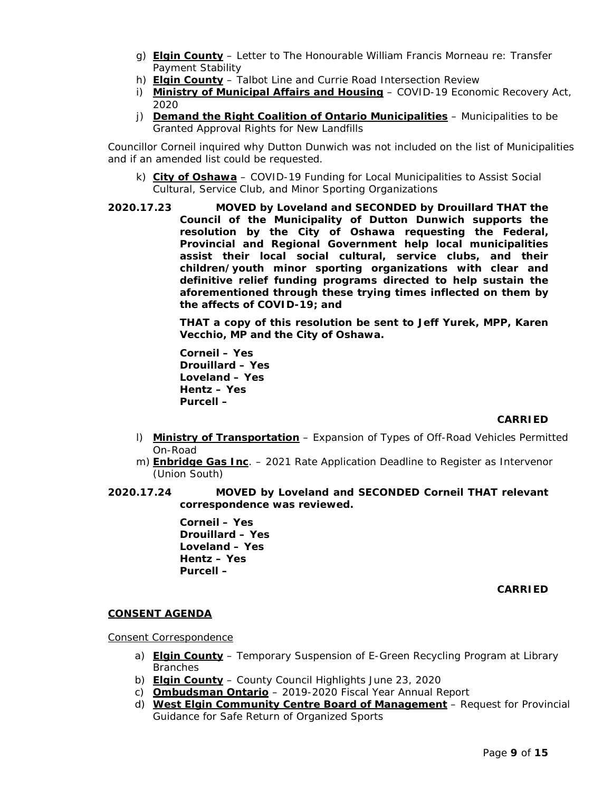- g) **Elgin County** Letter to The Honourable William Francis Morneau re: Transfer Payment Stability
- h) **Elgin County** Talbot Line and Currie Road Intersection Review
- i) **Ministry of Municipal Affairs and Housing** COVID-19 Economic Recovery Act, 2020
- j) **Demand the Right Coalition of Ontario Municipalities** Municipalities to be Granted Approval Rights for New Landfills

Councillor Corneil inquired why Dutton Dunwich was not included on the list of Municipalities and if an amended list could be requested.

- k) **City of Oshawa** COVID-19 Funding for Local Municipalities to Assist Social Cultural, Service Club, and Minor Sporting Organizations
- **2020.17.23 MOVED by Loveland and SECONDED by Drouillard THAT the Council of the Municipality of Dutton Dunwich supports the resolution by the City of Oshawa requesting the Federal, Provincial and Regional Government help local municipalities assist their local social cultural, service clubs, and their children/youth minor sporting organizations with clear and definitive relief funding programs directed to help sustain the aforementioned through these trying times inflected on them by the affects of COVID-19; and**

**THAT a copy of this resolution be sent to Jeff Yurek, MPP, Karen Vecchio, MP and the City of Oshawa.**

**Corneil – Yes Drouillard – Yes Loveland – Yes Hentz – Yes Purcell –**

# **CARRIED**

- l) **Ministry of Transportation** Expansion of Types of Off-Road Vehicles Permitted On-Road
- m) **Enbridge Gas Inc**. 2021 Rate Application Deadline to Register as Intervenor (Union South)
- **2020.17.24 MOVED by Loveland and SECONDED Corneil THAT relevant correspondence was reviewed.**

**Corneil – Yes Drouillard – Yes Loveland – Yes Hentz – Yes Purcell –**

**CARRIED**

### **CONSENT AGENDA**

Consent Correspondence

- a) **Elgin County** Temporary Suspension of E-Green Recycling Program at Library Branches
- b) **Elgin County** County Council Highlights June 23, 2020
- c) **Ombudsman Ontario** 2019-2020 Fiscal Year Annual Report
- d) **West Elgin Community Centre Board of Management** Request for Provincial Guidance for Safe Return of Organized Sports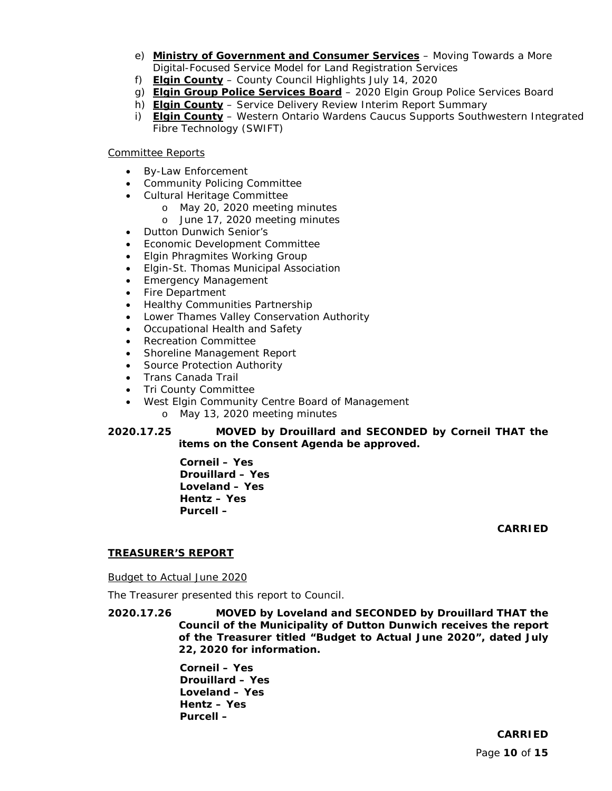- e) **Ministry of Government and Consumer Services** Moving Towards a More Digital-Focused Service Model for Land Registration Services
- f) **Elgin County** County Council Highlights July 14, 2020
- g) **Elgin Group Police Services Board** 2020 Elgin Group Police Services Board
- h) **Elgin County** Service Delivery Review Interim Report Summary
- i) **Elgin County** Western Ontario Wardens Caucus Supports Southwestern Integrated Fibre Technology (SWIFT)

## Committee Reports

- By-Law Enforcement
- Community Policing Committee
- Cultural Heritage Committee
	- o May 20, 2020 meeting minutes
	- o June 17, 2020 meeting minutes
- Dutton Dunwich Senior's
- Economic Development Committee
- Elgin Phragmites Working Group
- Elgin-St. Thomas Municipal Association
- Emergency Management
- Fire Department
- Healthy Communities Partnership
- Lower Thames Valley Conservation Authority
- Occupational Health and Safety
- Recreation Committee
- Shoreline Management Report
- Source Protection Authority
- Trans Canada Trail
- Tri County Committee
- West Elgin Community Centre Board of Management
	- o May 13, 2020 meeting minutes

# **2020.17.25 MOVED by Drouillard and SECONDED by Corneil THAT the items on the Consent Agenda be approved.**

**Corneil – Yes Drouillard – Yes Loveland – Yes Hentz – Yes Purcell –**

**CARRIED**

# **TREASURER'S REPORT**

Budget to Actual June 2020

The Treasurer presented this report to Council.

**2020.17.26 MOVED by Loveland and SECONDED by Drouillard THAT the Council of the Municipality of Dutton Dunwich receives the report of the Treasurer titled "Budget to Actual June 2020", dated July 22, 2020 for information.**

> **Corneil – Yes Drouillard – Yes Loveland – Yes Hentz – Yes Purcell –**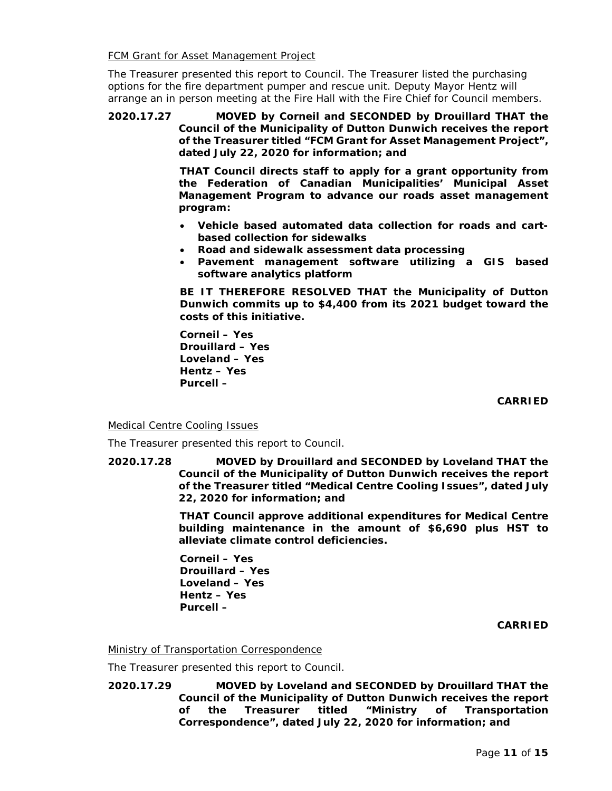**FCM Grant for Asset Management Project** 

The Treasurer presented this report to Council. The Treasurer listed the purchasing options for the fire department pumper and rescue unit. Deputy Mayor Hentz will arrange an in person meeting at the Fire Hall with the Fire Chief for Council members.

**2020.17.27 MOVED by Corneil and SECONDED by Drouillard THAT the Council of the Municipality of Dutton Dunwich receives the report of the Treasurer titled "FCM Grant for Asset Management Project", dated July 22, 2020 for information; and**

> **THAT Council directs staff to apply for a grant opportunity from the Federation of Canadian Municipalities' Municipal Asset Management Program to advance our roads asset management program:**

- **Vehicle based automated data collection for roads and cartbased collection for sidewalks**
- **Road and sidewalk assessment data processing**
- **Pavement management software utilizing a GIS based software analytics platform**

**BE IT THEREFORE RESOLVED THAT the Municipality of Dutton Dunwich commits up to \$4,400 from its 2021 budget toward the costs of this initiative.**

**Corneil – Yes Drouillard – Yes Loveland – Yes Hentz – Yes Purcell –**

**CARRIED**

### Medical Centre Cooling Issues

The Treasurer presented this report to Council.

**2020.17.28 MOVED by Drouillard and SECONDED by Loveland THAT the Council of the Municipality of Dutton Dunwich receives the report of the Treasurer titled "Medical Centre Cooling Issues", dated July 22, 2020 for information; and**

> **THAT Council approve additional expenditures for Medical Centre building maintenance in the amount of \$6,690 plus HST to alleviate climate control deficiencies.**

**Corneil – Yes Drouillard – Yes Loveland – Yes Hentz – Yes Purcell –**

**CARRIED**

### Ministry of Transportation Correspondence

The Treasurer presented this report to Council.

**2020.17.29 MOVED by Loveland and SECONDED by Drouillard THAT the Council of the Municipality of Dutton Dunwich receives the report of the Treasurer titled "Ministry of Transportation Correspondence", dated July 22, 2020 for information; and**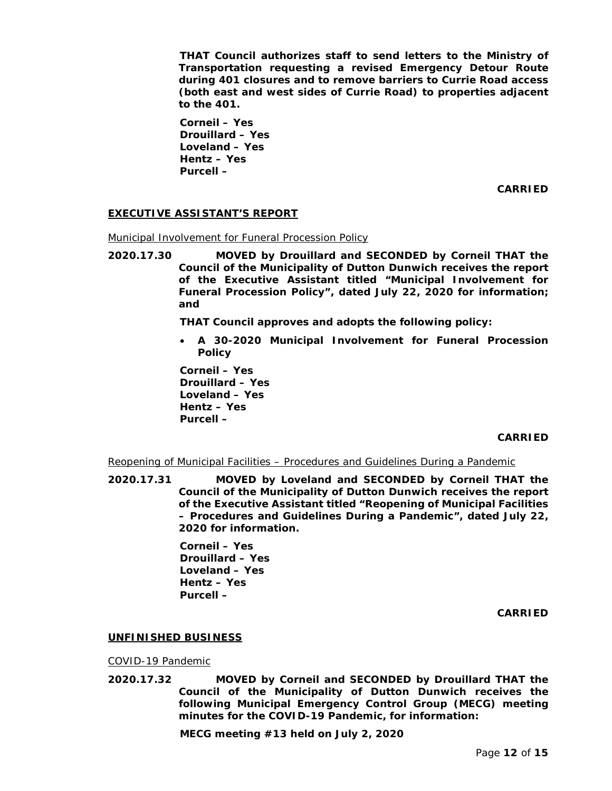**THAT Council authorizes staff to send letters to the Ministry of Transportation requesting a revised Emergency Detour Route during 401 closures and to remove barriers to Currie Road access (both east and west sides of Currie Road) to properties adjacent to the 401.**

**Corneil – Yes Drouillard – Yes Loveland – Yes Hentz – Yes Purcell –**

**CARRIED**

## **EXECUTIVE ASSISTANT'S REPORT**

Municipal Involvement for Funeral Procession Policy

**2020.17.30 MOVED by Drouillard and SECONDED by Corneil THAT the Council of the Municipality of Dutton Dunwich receives the report of the Executive Assistant titled "Municipal Involvement for Funeral Procession Policy", dated July 22, 2020 for information; and**

**THAT Council approves and adopts the following policy:**

• **A 30-2020 Municipal Involvement for Funeral Procession Policy**

**Corneil – Yes Drouillard – Yes Loveland – Yes Hentz – Yes Purcell –**

### **CARRIED**

Reopening of Municipal Facilities – Procedures and Guidelines During a Pandemic

**2020.17.31 MOVED by Loveland and SECONDED by Corneil THAT the Council of the Municipality of Dutton Dunwich receives the report of the Executive Assistant titled "Reopening of Municipal Facilities – Procedures and Guidelines During a Pandemic", dated July 22, 2020 for information.**

> **Corneil – Yes Drouillard – Yes Loveland – Yes Hentz – Yes Purcell –**

> > **CARRIED**

### **UNFINISHED BUSINESS**

### COVID-19 Pandemic

**2020.17.32 MOVED by Corneil and SECONDED by Drouillard THAT the Council of the Municipality of Dutton Dunwich receives the following Municipal Emergency Control Group (MECG) meeting minutes for the COVID-19 Pandemic, for information:**

**MECG meeting #13 held on July 2, 2020**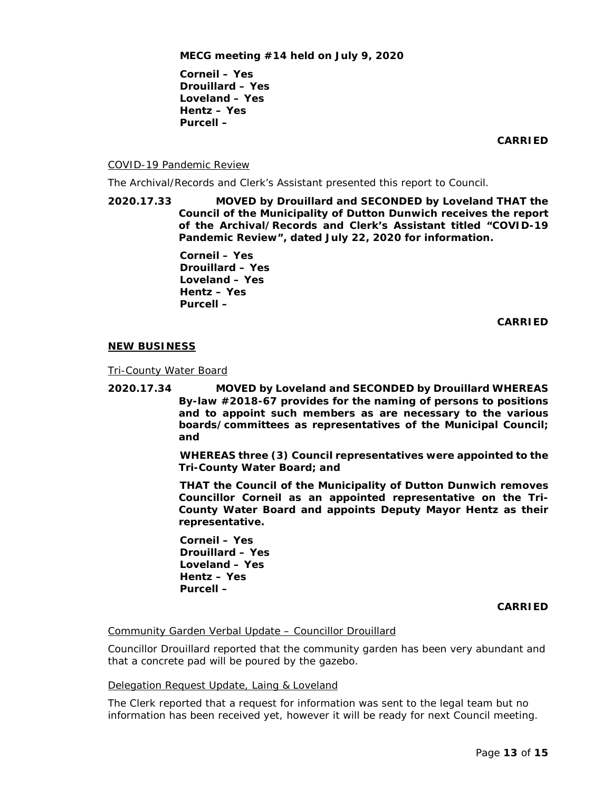**Corneil – Yes Drouillard – Yes Loveland – Yes Hentz – Yes Purcell –**

**CARRIED**

### COVID-19 Pandemic Review

The Archival/Records and Clerk's Assistant presented this report to Council.

**2020.17.33 MOVED by Drouillard and SECONDED by Loveland THAT the Council of the Municipality of Dutton Dunwich receives the report of the Archival/Records and Clerk's Assistant titled "COVID-19 Pandemic Review", dated July 22, 2020 for information.**

> **Corneil – Yes Drouillard – Yes Loveland – Yes Hentz – Yes Purcell –**

> > **CARRIED**

### **NEW BUSINESS**

Tri-County Water Board

**2020.17.34 MOVED by Loveland and SECONDED by Drouillard WHEREAS By-law #2018-67 provides for the naming of persons to positions and to appoint such members as are necessary to the various boards/committees as representatives of the Municipal Council; and**

> **WHEREAS three (3) Council representatives were appointed to the Tri-County Water Board; and**

> **THAT the Council of the Municipality of Dutton Dunwich removes Councillor Corneil as an appointed representative on the Tri-County Water Board and appoints Deputy Mayor Hentz as their representative.**

**Corneil – Yes Drouillard – Yes Loveland – Yes Hentz – Yes Purcell –**

**CARRIED**

### Community Garden Verbal Update – Councillor Drouillard

Councillor Drouillard reported that the community garden has been very abundant and that a concrete pad will be poured by the gazebo.

#### Delegation Request Update, Laing & Loveland

The Clerk reported that a request for information was sent to the legal team but no information has been received yet, however it will be ready for next Council meeting.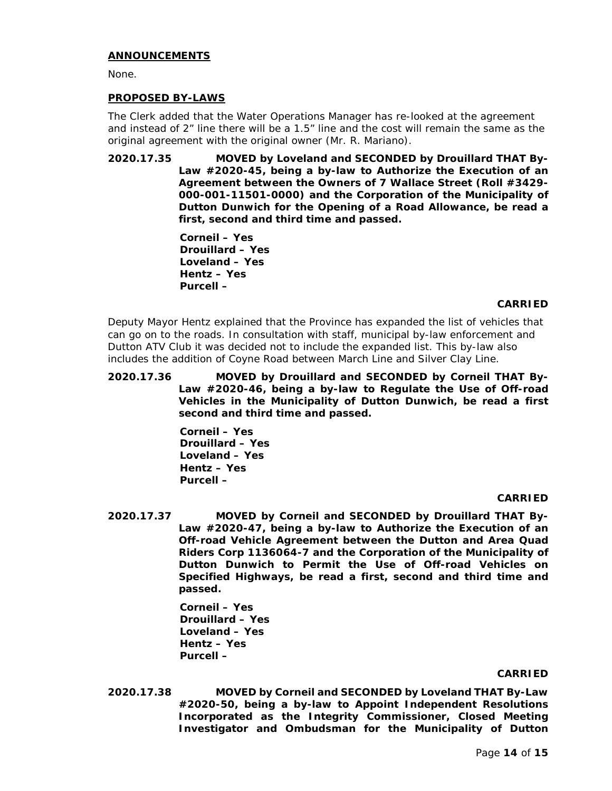### **ANNOUNCEMENTS**

None.

## **PROPOSED BY-LAWS**

The Clerk added that the Water Operations Manager has re-looked at the agreement and instead of 2" line there will be a 1.5" line and the cost will remain the same as the original agreement with the original owner (Mr. R. Mariano).

**2020.17.35 MOVED by Loveland and SECONDED by Drouillard THAT By-Law #2020-45, being a by-law to Authorize the Execution of an Agreement between the Owners of 7 Wallace Street (Roll #3429- 000-001-11501-0000) and the Corporation of the Municipality of Dutton Dunwich for the Opening of a Road Allowance, be read a first, second and third time and passed.**

> **Corneil – Yes Drouillard – Yes Loveland – Yes Hentz – Yes Purcell –**

### **CARRIED**

Deputy Mayor Hentz explained that the Province has expanded the list of vehicles that can go on to the roads. In consultation with staff, municipal by-law enforcement and Dutton ATV Club it was decided not to include the expanded list. This by-law also includes the addition of Coyne Road between March Line and Silver Clay Line.

**2020.17.36 MOVED by Drouillard and SECONDED by Corneil THAT By-Law #2020-46, being a by-law to Regulate the Use of Off-road Vehicles in the Municipality of Dutton Dunwich, be read a first second and third time and passed.**

> **Corneil – Yes Drouillard – Yes Loveland – Yes Hentz – Yes Purcell –**

#### **CARRIED**

**2020.17.37 MOVED by Corneil and SECONDED by Drouillard THAT By-Law #2020-47, being a by-law to Authorize the Execution of an Off-road Vehicle Agreement between the Dutton and Area Quad Riders Corp 1136064-7 and the Corporation of the Municipality of Dutton Dunwich to Permit the Use of Off-road Vehicles on Specified Highways, be read a first, second and third time and passed.**

> **Corneil – Yes Drouillard – Yes Loveland – Yes Hentz – Yes Purcell –**

#### **CARRIED**

**2020.17.38 MOVED by Corneil and SECONDED by Loveland THAT By-Law #2020-50, being a by-law to Appoint Independent Resolutions Incorporated as the Integrity Commissioner, Closed Meeting Investigator and Ombudsman for the Municipality of Dutton**